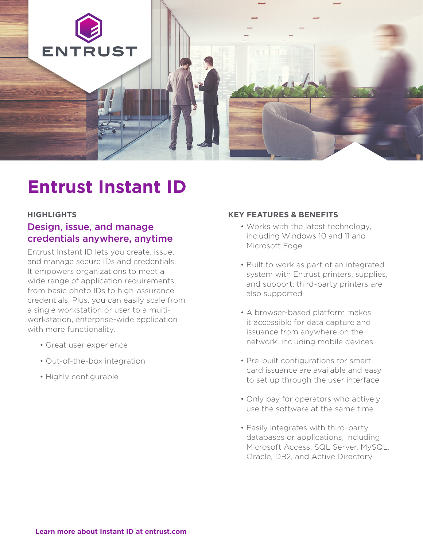

# **Entrust Instant ID**

# **HIGHLIGHTS**

# Design, issue, and manage credentials anywhere, anytime

Entrust Instant ID lets you create, issue, and manage secure IDs and credentials. It empowers organizations to meet a wide range of application requirements, from basic photo IDs to high-assurance credentials. Plus, you can easily scale from a single workstation or user to a multiworkstation, enterprise-wide application with more functionality.

- Great user experience
- Out-of-the-box integration
- Highly configurable

# **KEY FEATURES & BENEFITS**

- Works with the latest technology, including Windows 10 and 11 and Microsoft Edge
- Built to work as part of an integrated system with Entrust printers, supplies, and support; third-party printers are also supported
- A browser-based platform makes it accessible for data capture and issuance from anywhere on the network, including mobile devices
- Pre-built configurations for smart card issuance are available and easy to set up through the user interface
- Only pay for operators who actively use the software at the same time
- Easily integrates with third-party databases or applications, including Microsoft Access, SQL Server, MySQL, Oracle, DB2, and Active Directory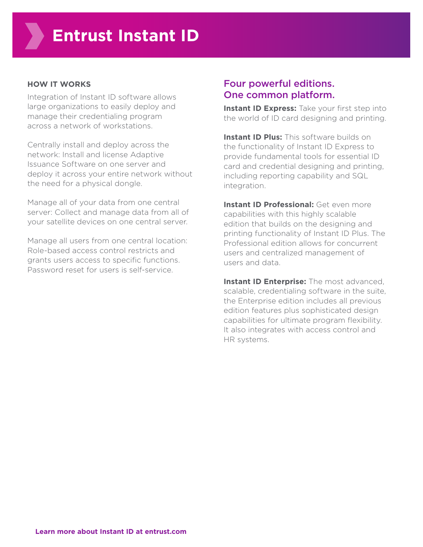## **HOW IT WORKS**

Integration of Instant ID software allows large organizations to easily deploy and manage their credentialing program across a network of workstations.

Centrally install and deploy across the network: Install and license Adaptive Issuance Software on one server and deploy it across your entire network without the need for a physical dongle.

Manage all of your data from one central server: Collect and manage data from all of your satellite devices on one central server.

Manage all users from one central location: Role-based access control restricts and grants users access to specific functions. Password reset for users is self-service.

# Four powerful editions. One common platform.

**Instant ID Express:** Take your first step into the world of ID card designing and printing.

**Instant ID Plus:** This software builds on the functionality of Instant ID Express to provide fundamental tools for essential ID card and credential designing and printing, including reporting capability and SQL integration.

**Instant ID Professional:** Get even more capabilities with this highly scalable edition that builds on the designing and printing functionality of Instant ID Plus. The Professional edition allows for concurrent users and centralized management of users and data.

**Instant ID Enterprise:** The most advanced, scalable, credentialing software in the suite, the Enterprise edition includes all previous edition features plus sophisticated design capabilities for ultimate program flexibility. It also integrates with access control and HR systems.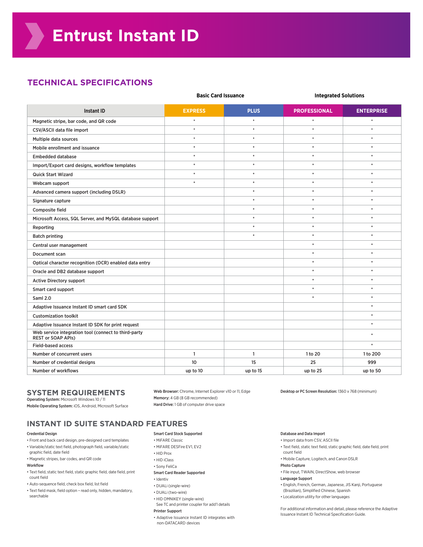# **TECHNICAL SPECIFICATIONS**

|                                                                                   | <b>Basic Card Issuance</b> |              | <b>Integrated Solutions</b> |                   |
|-----------------------------------------------------------------------------------|----------------------------|--------------|-----------------------------|-------------------|
| <b>Instant ID</b>                                                                 | <b>EXPRESS</b>             | <b>PLUS</b>  | <b>PROFESSIONAL</b>         | <b>ENTERPRISE</b> |
| Magnetic stripe, bar code, and QR code                                            | $\hat{\mathbf{x}}$         | $\ast$       | $\ast$                      | $\ast$            |
| CSV/ASCII data file import                                                        | $\hat{\mathbf{x}}$         | $\ast$       | $\hat{\mathbf{x}}$          | $\ast$            |
| Multiple data sources                                                             | $\ast$                     | $\ast$       | $\ast$                      | $\ast$            |
| Mobile enrollment and issuance                                                    | $\ast$                     | $\ast$       | $\ast$                      | $\ast$            |
| <b>Embedded database</b>                                                          | $\star$                    | $\ast$       | $\ast$                      | $\ast$            |
| Import/Export card designs, workflow templates                                    | $\ast$                     | $\ast$       | $\ast$                      | $\ast$            |
| <b>Quick Start Wizard</b>                                                         | $\ast$                     | $\ast$       | $\ast$                      | $\ast$            |
| Webcam support                                                                    | $\star$                    | $\ast$       | $\star$                     | $\ast$            |
| Advanced camera support (including DSLR)                                          |                            | $\ast$       | $\ast$                      | $\ast$            |
| Signature capture                                                                 |                            | $\ast$       | $\ast$                      | $\ast$            |
| Composite field                                                                   |                            | $\ast$       | $\ast$                      | $\ast$            |
| Microsoft Access, SQL Server, and MySQL database support                          |                            | $\ast$       | $\ast$                      | $\ast$            |
| Reporting                                                                         |                            | $\ast$       | $\ast$                      | $\ast$            |
| <b>Batch printing</b>                                                             |                            | $\ast$       | $\ast$                      | $\ast$            |
| Central user management                                                           |                            |              | $\ast$                      | $\ast$            |
| Document scan                                                                     |                            |              | $\ast$                      | $\ast$            |
| Optical character recognition (OCR) enabled data entry                            |                            |              | $\star$                     | $\ast$            |
| Oracle and DB2 database support                                                   |                            |              | $\star$                     | $\ast$            |
| <b>Active Directory support</b>                                                   |                            |              | $\ast$                      | $\ast$            |
| Smart card support                                                                |                            |              | $\star$                     | $\ast$            |
| <b>Saml 2.0</b>                                                                   |                            |              | $\ast$                      | $\ast$            |
| Adaptive Issuance Instant ID smart card SDK                                       |                            |              |                             | $\ast$            |
| <b>Customization toolkit</b>                                                      |                            |              |                             | $\ast$            |
| Adaptive Issuance Instant ID SDK for print request                                |                            |              |                             | $\ast$            |
| Web service integration tool (connect to third-party<br><b>REST or SOAP APIs)</b> |                            |              |                             | $\ast$            |
| <b>Field-based access</b>                                                         |                            |              |                             | $\ast$            |
| Number of concurrent users                                                        | $\mathbf{1}$               | $\mathbf{1}$ | 1 to 20                     | 1 to 200          |
| Number of credential designs                                                      | 10                         | 15           | 25                          | 999               |
| Number of workflows                                                               | up to 10                   | up to 15     | up to 25                    | up to 50          |

#### **SYSTEM REQUIREMENTS** Operating System: Microsoft Windows 10 / 11

Mobile Operating System: iOS, Android, Microsoft Surface

Web Browser: Chrome, Internet Explorer v10 or 11, Edge Memory: 4 GB (8 GB recommended) Hard Drive: 1 GB of computer drive space

Desktop or PC Screen Resolution: 1360 x 768 (minimum)

## **INSTANT ID SUITE STANDARD FEATURES**

#### Credential Design

- Front and back card design, pre-designed card templates • Variable/static text field, photograph field, variable/static
- graphic field, date field • Magnetic stripes, bar codes, and QR code

## Workflow

- Text field, static text field, static graphic field, date field, print count field
- Auto-sequence field, check box field, list field
- Text field mask, field option read only, hidden, mandatory, searchable

### Smart Card Stock Supported

- MiFARE Classic
- MiFARE DESFire EV1, EV2
- HID Prox
- HID iClass
- Sony FeliCa

## Smart Card Reader Supported

- Identiv
- DUALi (single-wire)
- DUALi (two-wire)
- HID OMNIKEY (single-wire)
- See TC and printer coupler for add'l details

#### Printer Support

• Adaptive Issuance Instant ID integrates with non-DATACARD devices

#### Database and Data Import

- Import data from CSV, ASCII file
- Text field, static text field, static graphic field, date field, print count field
- Mobile Capture, Logitech, and Canon DSLR
- Photo Capture
	- File input, TWAIN, DirectShow, web browser
	- Language Support
	- English, French, German, Japanese, JIS Kanji, Portuguese
	- (Brazilian), Simplified Chinese, Spanish
	- Localization utility for other languages

For additional information and detail, please reference the Adaptive Issuance Instant ID Technical Specification Guide.